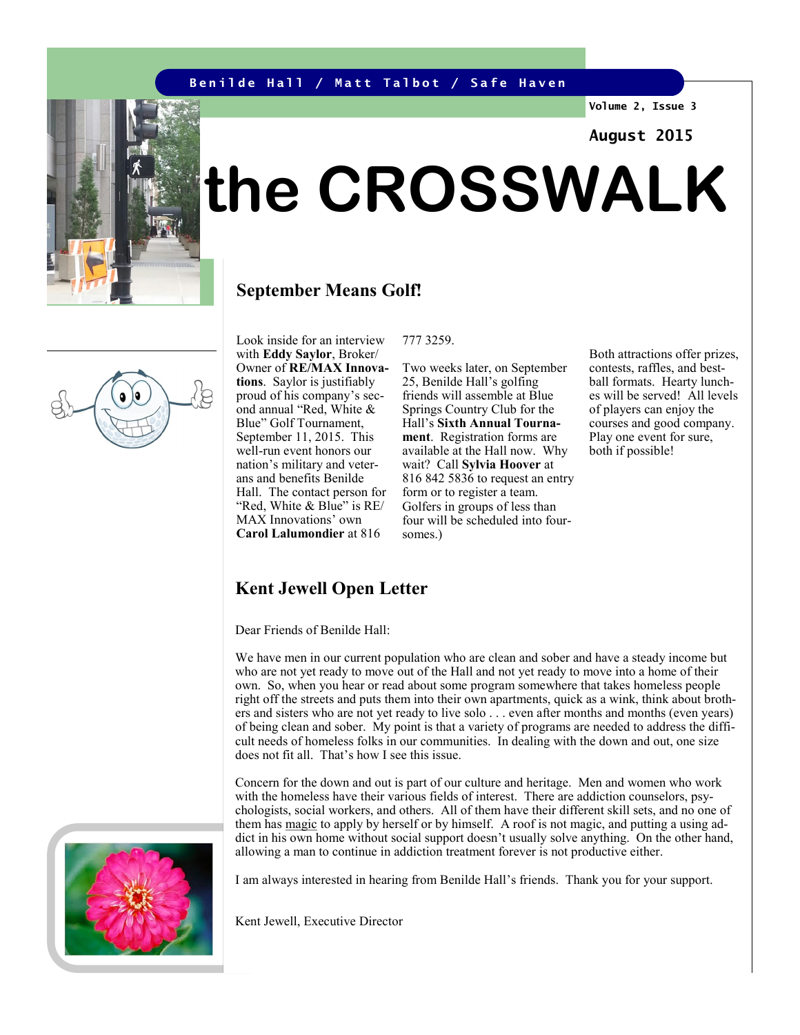#### **Benilde Hall / Matt Talbot / Safe Haven**

**Volume 2, Issue 3**

#### **August 2015**

# **the CROSSWALK**

#### **September Means Golf!**

Look inside for an interview with **Eddy Saylor**, Broker/ Owner of **RE/MAX Innovations**. Saylor is justifiably proud of his company's second annual "Red, White & Blue" Golf Tournament, September 11, 2015. This well-run event honors our nation's military and veterans and benefits Benilde Hall. The contact person for "Red, White & Blue" is RE/ MAX Innovations' own **Carol Lalumondier** at 816

777 3259.

Two weeks later, on September 25, Benilde Hall's golfing friends will assemble at Blue Springs Country Club for the Hall's **Sixth Annual Tournament**. Registration forms are available at the Hall now. Why wait? Call **Sylvia Hoover** at 816 842 5836 to request an entry form or to register a team. Golfers in groups of less than four will be scheduled into foursomes.)

Both attractions offer prizes, contests, raffles, and bestball formats. Hearty lunches will be served! All levels of players can enjoy the courses and good company. Play one event for sure, both if possible!



Dear Friends of Benilde Hall:

We have men in our current population who are clean and sober and have a steady income but who are not yet ready to move out of the Hall and not yet ready to move into a home of their own. So, when you hear or read about some program somewhere that takes homeless people right off the streets and puts them into their own apartments, quick as a wink, think about brothers and sisters who are not yet ready to live solo . . . even after months and months (even years) of being clean and sober. My point is that a variety of programs are needed to address the difficult needs of homeless folks in our communities. In dealing with the down and out, one size does not fit all. That's how I see this issue.

Concern for the down and out is part of our culture and heritage. Men and women who work with the homeless have their various fields of interest. There are addiction counselors, psychologists, social workers, and others. All of them have their different skill sets, and no one of them has magic to apply by herself or by himself. A roof is not magic, and putting a using addict in his own home without social support doesn't usually solve anything. On the other hand, allowing a man to continue in addiction treatment forever is not productive either.

I am always interested in hearing from Benilde Hall's friends. Thank you for your support.

Kent Jewell, Executive Director





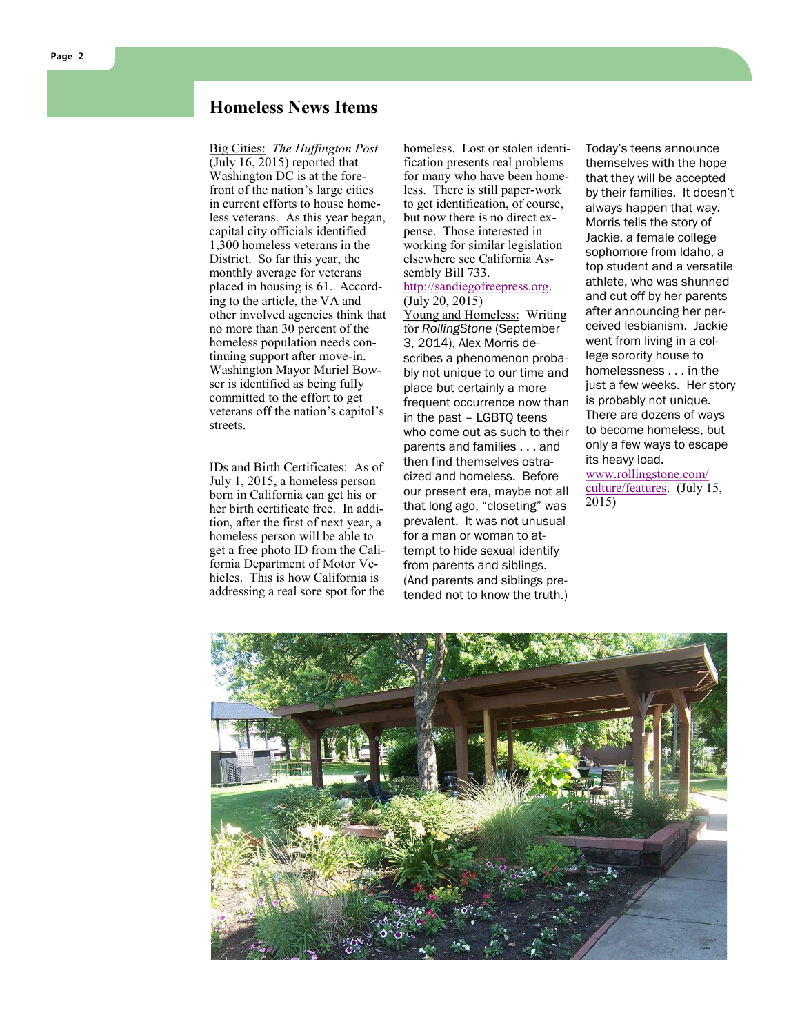#### **Homeless News Items**

Big Cities: *The Huffington Post* (July 16, 2015) reported that Washington DC is at the forefront of the nation's large cities in current efforts to house homeless veterans. As this year began, capital city officials identified 1,300 homeless veterans in the District. So far this year, the monthly average for veterans placed in housing is 61. According to the article, the VA and other involved agencies think that no more than 30 percent of the homeless population needs continuing support after move-in. Washington Mayor Muriel Bowser is identified as being fully committed to the effort to get veterans off the nation 's capitol 's streets.

IDs and Birth Certificates: As of July 1, 2015, a homeless person born in California can get his or her birth certificate free. In addition, after the first of next year, a homeless person will be able to get a free photo ID from the California Department of Motor Vehicles. This is how California is addressing a real sore spot for the

homeless. Lost or stolen identification presents real problems for many who have been homeless. There is still paper-work to get identification, of course, but now there is no direct expense. Those interested in working for similar legislation elsewhere see California Assembly Bill 733.

#### [http://sandiegofreepress.org.](http://sandiegofreepress.org)  (July 20, 2015)

Young and Homeless: Writing for *RollingStone* (September 3, 2014), Alex Morris describes a phenomenon probably not unique to our time and place but certainly a more frequent occurrence now than in the past – LGBTQ teens who come out as such to their parents and families . . . and then find themselves ostracized and homeless. Before our present era, maybe not all that long ago, "closeting" was prevalent. It was not unusual for a man or woman to attempt to hide sexual identify from parents and siblings. (And parents and siblings pretended not to know the truth.)

Today's teens announce themselves with the hope that they will be accepted by their families. It doesn't always happen that way. Morris tells the story of Jackie, a female college sophomore from Idaho, a top student and a versatile athlete, who was shunned and cut off by her parents after announcing her perceived lesbianism. Jackie went from living in a college sorority house to homelessness . . . in the just a few weeks. Her story is probably not unique. There are dozens of ways to become homeless, but only a few ways to escape its heavy load. [www.rollingstone.com/](http://www.rollingstone.com/culture/features)

[culture/features.](http://www.rollingstone.com/culture/features) (July 15, 2015)

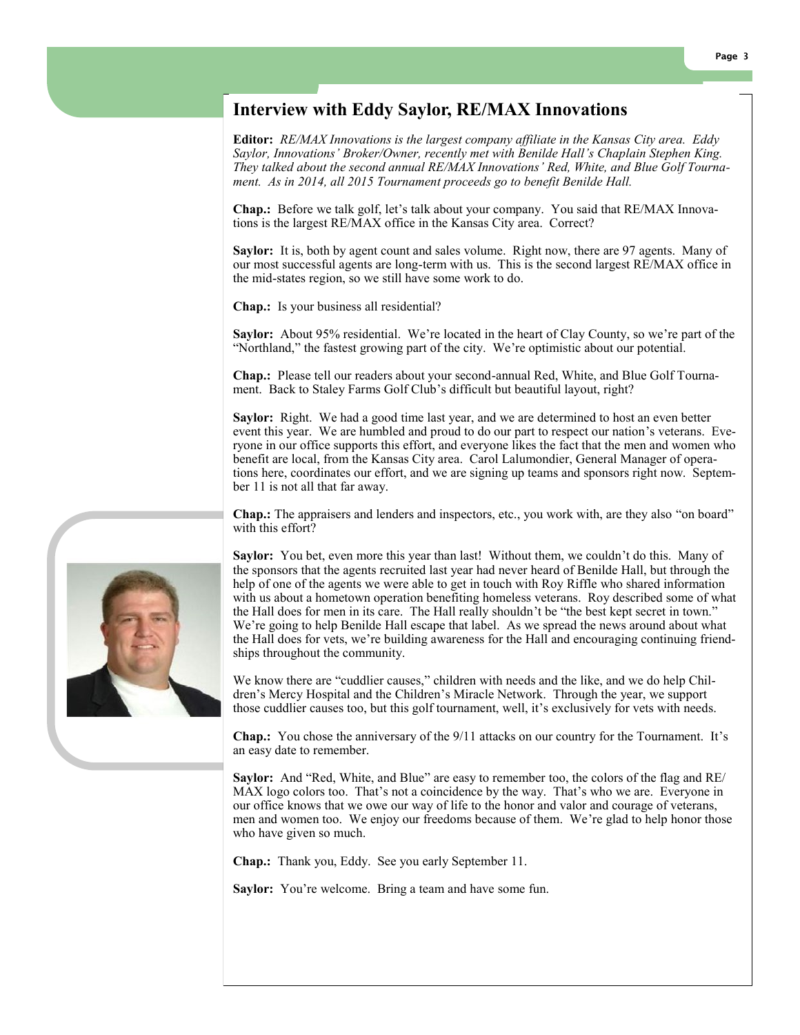### **Interview with Eddy Saylor, RE/MAX Innovations**

**Editor:** *RE/MAX Innovations is the largest company affiliate in the Kansas City area. Eddy Saylor, Innovations' Broker/Owner, recently met with Benilde Hall's Chaplain Stephen King. They talked about the second annual RE/MAX Innovations' Red, White, and Blue Golf Tournament. As in 2014, all 2015 Tournament proceeds go to benefit Benilde Hall.*

**Chap.:** Before we talk golf, let's talk about your company. You said that RE/MAX Innovations is the largest RE/MAX office in the Kansas City area. Correct?

**Saylor:** It is, both by agent count and sales volume. Right now, there are 97 agents. Many of our most successful agents are long-term with us. This is the second largest RE/MAX office in the mid-states region, so we still have some work to do.

**Chap.:** Is your business all residential?

**Saylor:** About 95% residential. We're located in the heart of Clay County, so we're part of the "Northland," the fastest growing part of the city. We're optimistic about our potential.

**Chap.:** Please tell our readers about your second-annual Red, White, and Blue Golf Tournament. Back to Staley Farms Golf Club's difficult but beautiful layout, right?

**Saylor:** Right. We had a good time last year, and we are determined to host an even better event this year. We are humbled and proud to do our part to respect our nation's veterans. Everyone in our office supports this effort, and everyone likes the fact that the men and women who benefit are local, from the Kansas City area. Carol Lalumondier, General Manager of operations here, coordinates our effort, and we are signing up teams and sponsors right now. September 11 is not all that far away.

**Chap.:** The appraisers and lenders and inspectors, etc., you work with, are they also "on board" with this effort?

**Saylor:** You bet, even more this year than last! Without them, we couldn't do this. Many of the sponsors that the agents recruited last year had never heard of Benilde Hall, but through the help of one of the agents we were able to get in touch with Roy Riffle who shared information with us about a hometown operation benefiting homeless veterans. Roy described some of what the Hall does for men in its care. The Hall really shouldn't be "the best kept secret in town." We're going to help Benilde Hall escape that label. As we spread the news around about what the Hall does for vets, we're building awareness for the Hall and encouraging continuing friendships throughout the community.

We know there are "cuddlier causes," children with needs and the like, and we do help Children's Mercy Hospital and the Children's Miracle Network. Through the year, we support those cuddlier causes too, but this golf tournament, well, it's exclusively for vets with needs.

**Chap.:** You chose the anniversary of the 9/11 attacks on our country for the Tournament. It's an easy date to remember.

**Saylor:** And "Red, White, and Blue" are easy to remember too, the colors of the flag and RE/ MAX logo colors too. That's not a coincidence by the way. That's who we are. Everyone in our office knows that we owe our way of life to the honor and valor and courage of veterans, men and women too. We enjoy our freedoms because of them. We're glad to help honor those who have given so much.

**Chap.:** Thank you, Eddy. See you early September 11.

**Saylor:** You're welcome. Bring a team and have some fun.